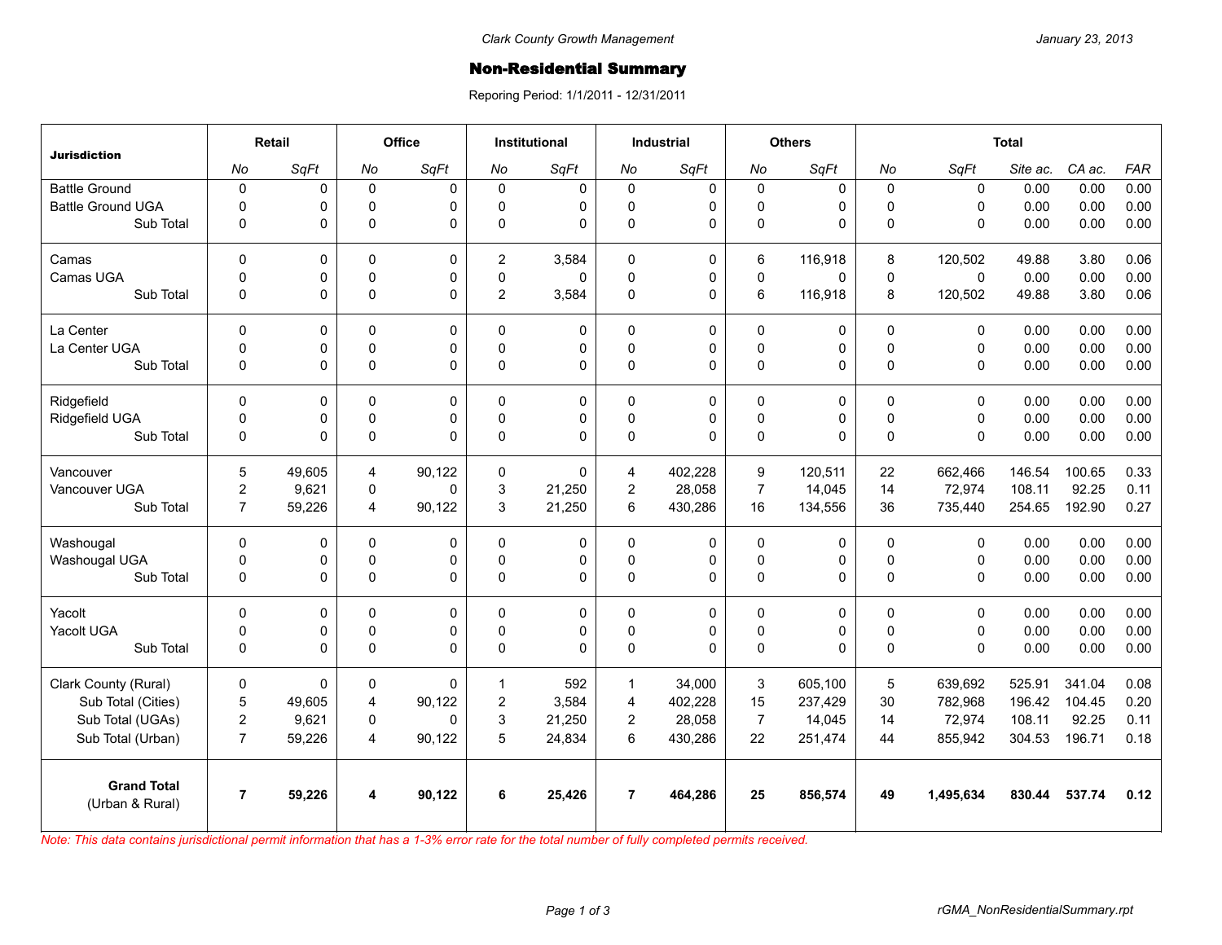## **Non-Residential Summary**

Reporing Period: 1/1/2011 - 12/31/2011

| <b>Jurisdiction</b>                   | Retail         |             | Office                  |          | <b>Institutional</b> |             | <b>Industrial</b> |           | <b>Others</b>  |             | <b>Total</b> |              |          |        |            |
|---------------------------------------|----------------|-------------|-------------------------|----------|----------------------|-------------|-------------------|-----------|----------------|-------------|--------------|--------------|----------|--------|------------|
|                                       | No             | SqFt        | No                      | SqFt     | No                   | SqFt        | No                | SqFt      | No             | SqFt        | No           | SqFt         | Site ac. | CA ac. | <b>FAR</b> |
| <b>Battle Ground</b>                  | $\mathbf 0$    | 0           | $\mathsf 0$             | 0        | $\Omega$             | $\mathbf 0$ | $\mathbf 0$       | 0         | 0              | $\mathbf 0$ | $\mathbf 0$  | $\mathbf 0$  | 0.00     | 0.00   | 0.00       |
| <b>Battle Ground UGA</b>              | $\pmb{0}$      | 0           | $\pmb{0}$               | 0        | $\Omega$             | 0           | $\mathbf 0$       | 0         | 0              | 0           | $\pmb{0}$    | $\Omega$     | 0.00     | 0.00   | 0.00       |
| Sub Total                             | $\mathbf 0$    | 0           | $\mathbf 0$             | $\Omega$ | $\Omega$             | $\Omega$    | $\mathbf 0$       | 0         | 0              | 0           | $\Omega$     | $\mathbf{0}$ | 0.00     | 0.00   | 0.00       |
| Camas                                 | $\mathbf 0$    | 0           | $\mathbf 0$             | 0        | $\overline{2}$       | 3,584       | $\mathbf{0}$      | 0         | 6              | 116,918     | 8            | 120,502      | 49.88    | 3.80   | 0.06       |
| Camas UGA                             | $\mathsf 0$    | 0           | $\pmb{0}$               | 0        | $\mathbf 0$          | 0           | 0                 | $\pmb{0}$ | $\mathsf 0$    | $\mathbf 0$ | $\pmb{0}$    | $\mathsf 0$  | 0.00     | 0.00   | 0.00       |
| Sub Total                             | $\pmb{0}$      | 0           | $\mathsf 0$             | 0        | $\overline{2}$       | 3,584       | $\mathbf{0}$      | 0         | 6              | 116,918     | 8            | 120,502      | 49.88    | 3.80   | 0.06       |
| La Center                             | $\Omega$       | $\mathbf 0$ | $\mathbf{0}$            | $\Omega$ | $\Omega$             | $\Omega$    | $\mathbf{0}$      | 0         | 0              | $\mathbf 0$ | $\mathbf{0}$ | $\mathbf{0}$ | 0.00     | 0.00   | 0.00       |
| La Center UGA                         | $\mathbf 0$    | 0           | $\mathbf 0$             | 0        | $\Omega$             | 0           | 0                 | 0         | 0              | 0           | $\mathbf 0$  | $\mathbf 0$  | 0.00     | 0.00   | 0.00       |
| Sub Total                             | $\Omega$       | 0           | $\mathbf{0}$            | $\Omega$ | $\Omega$             | 0           | $\mathbf{0}$      | 0         | $\mathsf 0$    | $\Omega$    | $\Omega$     | $\Omega$     | 0.00     | 0.00   | 0.00       |
| Ridgefield                            | $\pmb{0}$      | 0           | $\mathbf 0$             | 0        | $\Omega$             | 0           | $\mathbf 0$       | 0         | 0              | 0           | $\mathbf 0$  | $\mathbf 0$  | 0.00     | 0.00   | 0.00       |
| Ridgefield UGA                        | $\pmb{0}$      | 0           | $\pmb{0}$               | 0        | $\Omega$             | 0           | $\mathbf 0$       | 0         | $\mathsf 0$    | 0           | $\pmb{0}$    | $\mathbf 0$  | 0.00     | 0.00   | 0.00       |
| Sub Total                             | $\pmb{0}$      | 0           | $\mathsf 0$             | 0        | $\Omega$             | 0           | $\mathbf 0$       | 0         | 0              | 0           | $\mathbf{0}$ | $\Omega$     | 0.00     | 0.00   | 0.00       |
| Vancouver                             | 5              | 49.605      | 4                       | 90.122   | $\Omega$             | $\Omega$    | $\overline{4}$    | 402.228   | 9              | 120.511     | 22           | 662,466      | 146.54   | 100.65 | 0.33       |
| Vancouver UGA                         | $\overline{c}$ | 9,621       | $\pmb{0}$               | 0        | 3                    | 21,250      | $\boldsymbol{2}$  | 28,058    | $\overline{7}$ | 14,045      | 14           | 72,974       | 108.11   | 92.25  | 0.11       |
| Sub Total                             | $\overline{7}$ | 59,226      | 4                       | 90,122   | 3                    | 21,250      | 6                 | 430,286   | 16             | 134,556     | 36           | 735,440      | 254.65   | 192.90 | 0.27       |
| Washougal                             | $\Omega$       | 0           | $\mathbf 0$             | $\Omega$ | $\Omega$             | 0           | $\mathbf{0}$      | 0         | 0              | 0           | $\mathbf 0$  | $\Omega$     | 0.00     | 0.00   | 0.00       |
| Washougal UGA                         | $\pmb{0}$      | $\mathsf 0$ | $\pmb{0}$               | 0        | $\Omega$             | 0           | $\pmb{0}$         | 0         | $\mathsf 0$    | 0           | $\pmb{0}$    | $\pmb{0}$    | 0.00     | 0.00   | 0.00       |
| Sub Total                             | $\pmb{0}$      | 0           | $\mathsf 0$             | 0        | $\Omega$             | 0           | $\mathbf{0}$      | 0         | 0              | 0           | $\mathbf 0$  | $\mathbf{0}$ | 0.00     | 0.00   | 0.00       |
| Yacolt                                | $\mathbf 0$    | 0           | $\mathbf 0$             | 0        | $\mathbf 0$          | 0           | $\mathbf 0$       | 0         | 0              | 0           | $\mathbf 0$  | $\mathbf 0$  | 0.00     | 0.00   | 0.00       |
| Yacolt UGA                            | $\mathbf 0$    | 0           | $\mathbf 0$             | 0        | $\Omega$             | 0           | $\mathbf 0$       | 0         | 0              | 0           | $\mathbf 0$  | $\mathbf 0$  | 0.00     | 0.00   | 0.00       |
| Sub Total                             | $\pmb{0}$      | 0           | $\mathsf 0$             | 0        | $\Omega$             | 0           | $\mathbf{0}$      | 0         | $\mathsf 0$    | $\Omega$    | $\Omega$     | $\mathbf{0}$ | 0.00     | 0.00   | 0.00       |
| Clark County (Rural)                  | $\pmb{0}$      | 0           | $\mathbf 0$             | 0        | 1                    | 592         | $\mathbf{1}$      | 34,000    | 3              | 605,100     | 5            | 639,692      | 525.91   | 341.04 | 0.08       |
| Sub Total (Cities)                    | $\overline{5}$ | 49.605      | $\overline{4}$          | 90.122   | $\overline{2}$       | 3,584       | $\overline{4}$    | 402,228   | 15             | 237,429     | 30           | 782,968      | 196.42   | 104.45 | 0.20       |
| Sub Total (UGAs)                      | $\overline{c}$ | 9,621       | 0                       | $\Omega$ | 3                    | 21,250      | $\overline{2}$    | 28,058    | $\overline{7}$ | 14,045      | 14           | 72,974       | 108.11   | 92.25  | 0.11       |
| Sub Total (Urban)                     | $\overline{7}$ | 59,226      | $\overline{\mathbf{4}}$ | 90,122   | 5                    | 24,834      | 6                 | 430,286   | 22             | 251,474     | 44           | 855,942      | 304.53   | 196.71 | 0.18       |
| <b>Grand Total</b><br>(Urban & Rural) | $\overline{7}$ | 59,226      | 4                       | 90,122   | 6                    | 25,426      | $\overline{7}$    | 464,286   | 25             | 856,574     | 49           | 1,495,634    | 830.44   | 537.74 | 0.12       |

*Note: This data contains jurisdictional permit information that has a 1-3% error rate for the total number of fully completed permits received.*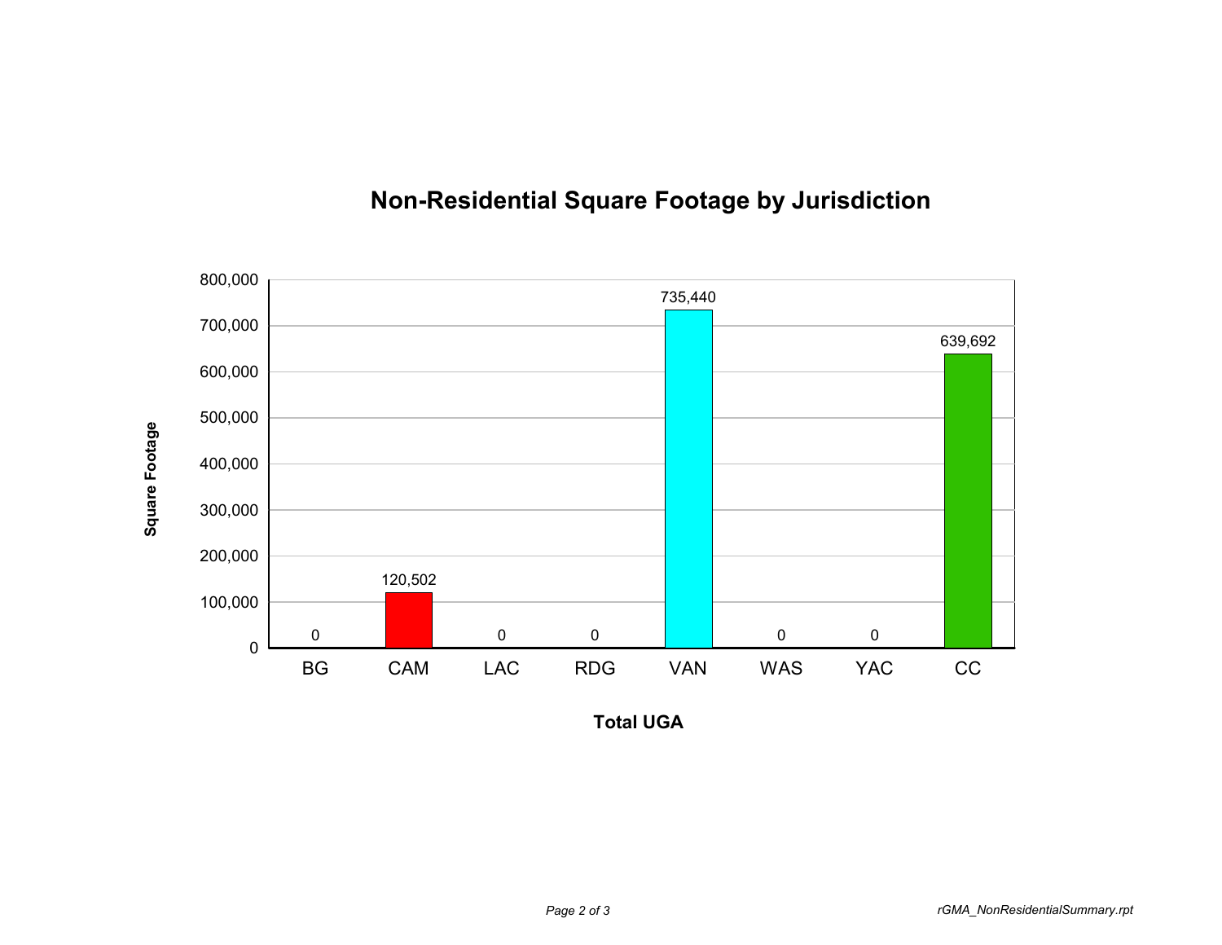

## **Non-Residential Square Footage by Jurisdiction**

**Total UGA**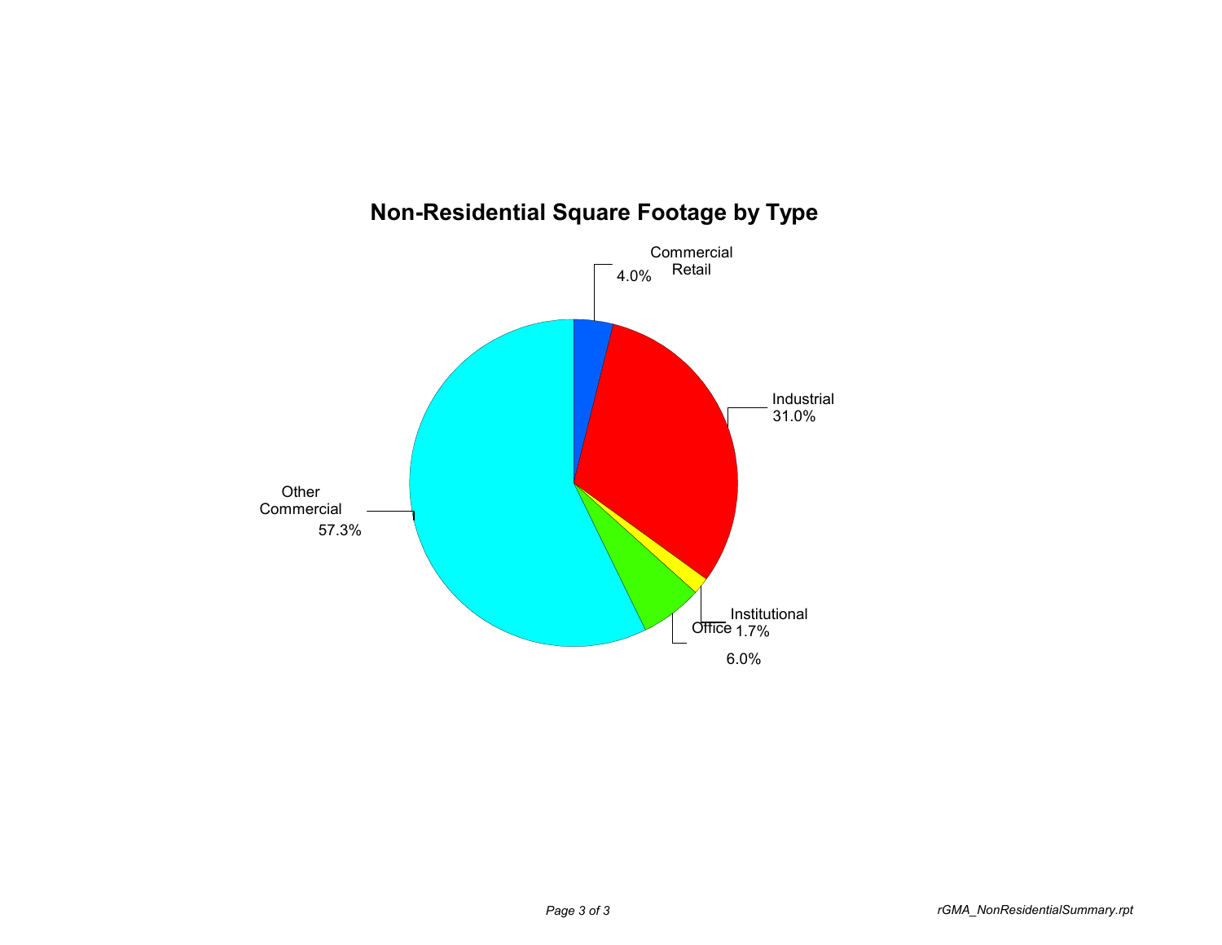

## **Non-Residential Square Footage by Type**